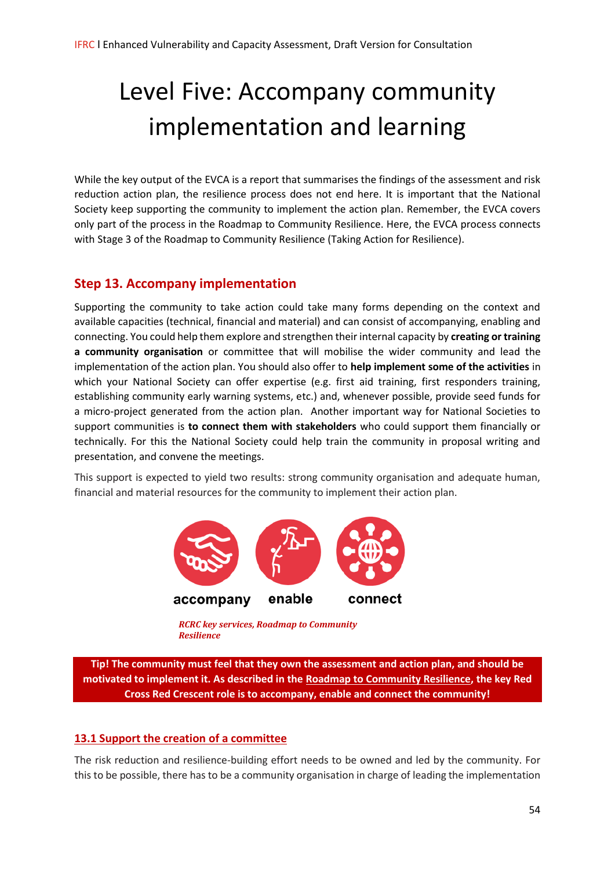# Level Five: Accompany community implementation and learning

While the key output of the EVCA is a report that summarises the findings of the assessment and risk reduction action plan, the resilience process does not end here. It is important that the National Society keep supporting the community to implement the action plan. Remember, the EVCA covers only part of the process in the Roadmap to Community Resilience. Here, the EVCA process connects with Stage 3 of the Roadmap to Community Resilience (Taking Action for Resilience).

## **Step 13. Accompany implementation**

Supporting the community to take action could take many forms depending on the context and available capacities (technical, financial and material) and can consist of accompanying, enabling and connecting. You could help them explore and strengthen their internal capacity by **creating or training a community organisation** or committee that will mobilise the wider community and lead the implementation of the action plan. You should also offer to **help implement some of the activities** in which your National Society can offer expertise (e.g. first aid training, first responders training, establishing community early warning systems, etc.) and, whenever possible, provide seed funds for a micro-project generated from the action plan. Another important way for National Societies to support communities is **to connect them with stakeholders** who could support them financially or technically. For this the National Society could help train the community in proposal writing and presentation, and convene the meetings.

This support is expected to yield two results: strong community organisation and adequate human, financial and material resources for the community to implement their action plan.



*RCRC key services, Roadmap to Community Resilience*

**Tip! The community must feel that they own the assessment and action plan, and should be motivated to implement it. As described in the [Roadmap to Community Resilience,](http://www.preparecenter.org/sites/default/files/1310403-road_map_to_community_resilience-en-04.pdf#page=55) the key Red Cross Red Crescent role is to accompany, enable and connect the community!**

#### **13.1 Support the creation of a committee**

The risk reduction and resilience-building effort needs to be owned and led by the community. For this to be possible, there has to be a community organisation in charge of leading the implementation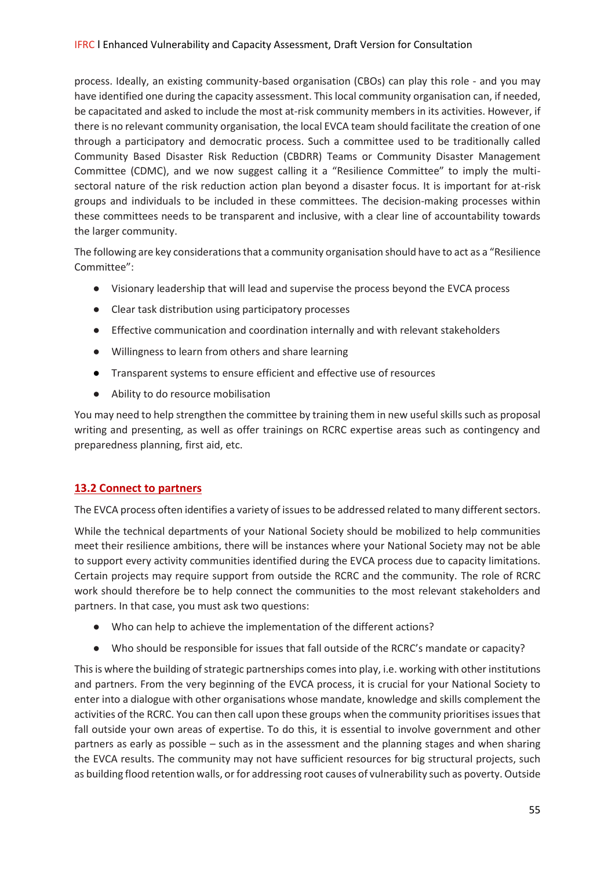process. Ideally, an existing community-based organisation (CBOs) can play this role - and you may have identified one during the capacity assessment. This local community organisation can, if needed, be capacitated and asked to include the most at-risk community members in its activities. However, if there is no relevant community organisation, the local EVCA team should facilitate the creation of one through a participatory and democratic process. Such a committee used to be traditionally called Community Based Disaster Risk Reduction (CBDRR) Teams or Community Disaster Management Committee (CDMC), and we now suggest calling it a "Resilience Committee" to imply the multisectoral nature of the risk reduction action plan beyond a disaster focus. It is important for at-risk groups and individuals to be included in these committees. The decision-making processes within these committees needs to be transparent and inclusive, with a clear line of accountability towards the larger community.

The following are key considerations that a community organisation should have to act as a "Resilience Committee":

- Visionary leadership that will lead and supervise the process beyond the EVCA process
- Clear task distribution using participatory processes
- Effective communication and coordination internally and with relevant stakeholders
- Willingness to learn from others and share learning
- Transparent systems to ensure efficient and effective use of resources
- Ability to do resource mobilisation

You may need to help strengthen the committee by training them in new useful skills such as proposal writing and presenting, as well as offer trainings on RCRC expertise areas such as contingency and preparedness planning, first aid, etc.

### **13.2 Connect to partners**

The EVCA process often identifies a variety of issues to be addressed related to many different sectors.

While the technical departments of your National Society should be mobilized to help communities meet their resilience ambitions, there will be instances where your National Society may not be able to support every activity communities identified during the EVCA process due to capacity limitations. Certain projects may require support from outside the RCRC and the community. The role of RCRC work should therefore be to help connect the communities to the most relevant stakeholders and partners. In that case, you must ask two questions:

- Who can help to achieve the implementation of the different actions?
- Who should be responsible for issues that fall outside of the RCRC's mandate or capacity?

This is where the building of strategic partnerships comes into play, i.e. working with other institutions and partners. From the very beginning of the EVCA process, it is crucial for your National Society to enter into a dialogue with other organisations whose mandate, knowledge and skills complement the activities of the RCRC. You can then call upon these groups when the community prioritises issues that fall outside your own areas of expertise. To do this, it is essential to involve government and other partners as early as possible – such as in the assessment and the planning stages and when sharing the EVCA results. The community may not have sufficient resources for big structural projects, such as building flood retention walls, or for addressing root causes of vulnerability such as poverty. Outside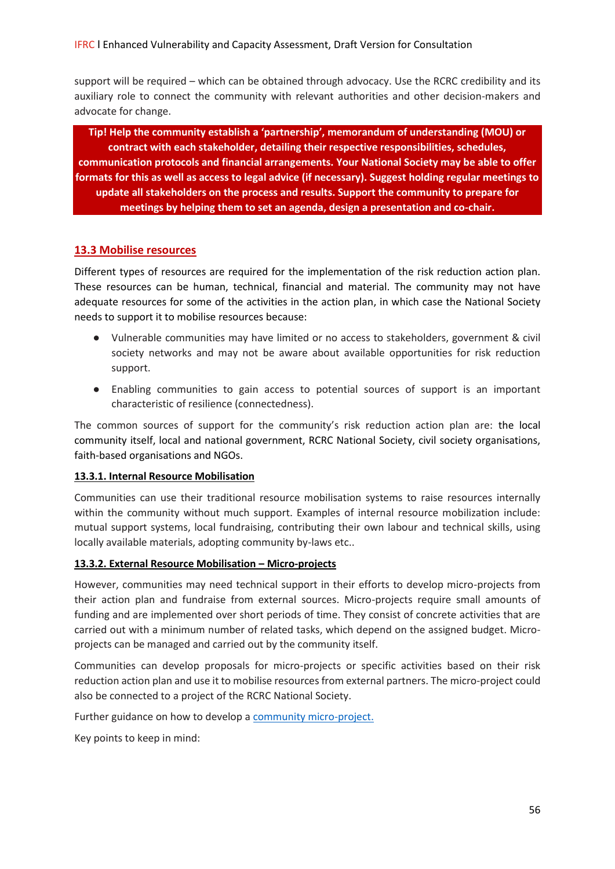support will be required – which can be obtained through advocacy. Use the RCRC credibility and its auxiliary role to connect the community with relevant authorities and other decision-makers and advocate for change.

**Tip! Help the community establish a 'partnership', memorandum of understanding (MOU) or contract with each stakeholder, detailing their respective responsibilities, schedules, communication protocols and financial arrangements. Your National Society may be able to offer formats for this as well as access to legal advice (if necessary). Suggest holding regular meetings to update all stakeholders on the process and results. Support the community to prepare for meetings by helping them to set an agenda, design a presentation and co-chair.**

#### **13.3 Mobilise resources**

Different types of resources are required for the implementation of the risk reduction action plan. These resources can be human, technical, financial and material. The community may not have adequate resources for some of the activities in the action plan, in which case the National Society needs to support it to mobilise resources because:

- Vulnerable communities may have limited or no access to stakeholders, government & civil society networks and may not be aware about available opportunities for risk reduction support.
- Enabling communities to gain access to potential sources of support is an important characteristic of resilience (connectedness).

The common sources of support for the community's risk reduction action plan are: the local community itself, local and national government, RCRC National Society, civil society organisations, faith-based organisations and NGOs.

#### **13.3.1. Internal Resource Mobilisation**

Communities can use their traditional resource mobilisation systems to raise resources internally within the community without much support. Examples of internal resource mobilization include: mutual support systems, local fundraising, contributing their own labour and technical skills, using locally available materials, adopting community by-laws etc..

#### **13.3.2. External Resource Mobilisation – Micro-projects**

However, communities may need technical support in their efforts to develop micro-projects from their action plan and fundraise from external sources. Micro-projects require small amounts of funding and are implemented over short periods of time. They consist of concrete activities that are carried out with a minimum number of related tasks, which depend on the assigned budget. Microprojects can be managed and carried out by the community itself.

Communities can develop proposals for micro-projects or specific activities based on their risk reduction action plan and use it to mobilise resources from external partners. The micro-project could also be connected to a project of the RCRC National Society.

Further guidance on how to develop a [community micro-project.](https://docs.wixstatic.com/ugd/bbdc81_cbfd6a63494b4934941b36c7b8c561cb.pdf)

Key points to keep in mind: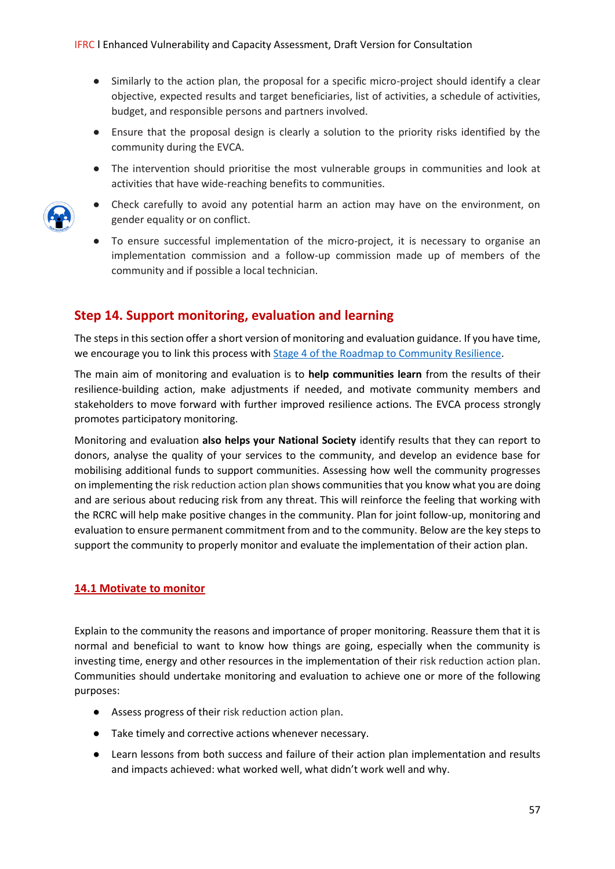- Similarly to the action plan, the proposal for a specific micro-project should identify a clear objective, expected results and target beneficiaries, list of activities, a schedule of activities, budget, and responsible persons and partners involved.
- Ensure that the proposal design is clearly a solution to the priority risks identified by the community during the EVCA.
- The intervention should prioritise the most vulnerable groups in communities and look at activities that have wide-reaching benefits to communities.



- Check carefully to avoid any potential harm an action may have on the environment, on gender equality or on conflict.
- To ensure successful implementation of the micro-project, it is necessary to organise an implementation commission and a follow-up commission made up of members of the community and if possible a local technician.

## **Step 14. Support monitoring, evaluation and learning**

The steps in this section offer a short version of monitoring and evaluation guidance. If you have time, we encourage you to link this process wit[h Stage 4 of the Roadmap to Community Resilience.](http://media.ifrc.org/ifrc/wp-content/uploads/sites/5/2018/03/1310403-Road-Map-to-Community-Resilience-Final-Version_EN-08#page=53.pdf)

The main aim of monitoring and evaluation is to **help communities learn** from the results of their resilience-building action, make adjustments if needed, and motivate community members and stakeholders to move forward with further improved resilience actions. The EVCA process strongly promotes participatory monitoring.

Monitoring and evaluation **also helps your National Society** identify results that they can report to donors, analyse the quality of your services to the community, and develop an evidence base for mobilising additional funds to support communities. Assessing how well the community progresses on implementing the risk reduction action plan shows communities that you know what you are doing and are serious about reducing risk from any threat. This will reinforce the feeling that working with the RCRC will help make positive changes in the community. Plan for joint follow-up, monitoring and evaluation to ensure permanent commitment from and to the community. Below are the key steps to support the community to properly monitor and evaluate the implementation of their action plan.

#### **14.1 Motivate to monitor**

Explain to the community the reasons and importance of proper monitoring. Reassure them that it is normal and beneficial to want to know how things are going, especially when the community is investing time, energy and other resources in the implementation of their risk reduction action plan. Communities should undertake monitoring and evaluation to achieve one or more of the following purposes:

- Assess progress of their risk reduction action plan.
- Take timely and corrective actions whenever necessary.
- Learn lessons from both success and failure of their action plan implementation and results and impacts achieved: what worked well, what didn't work well and why.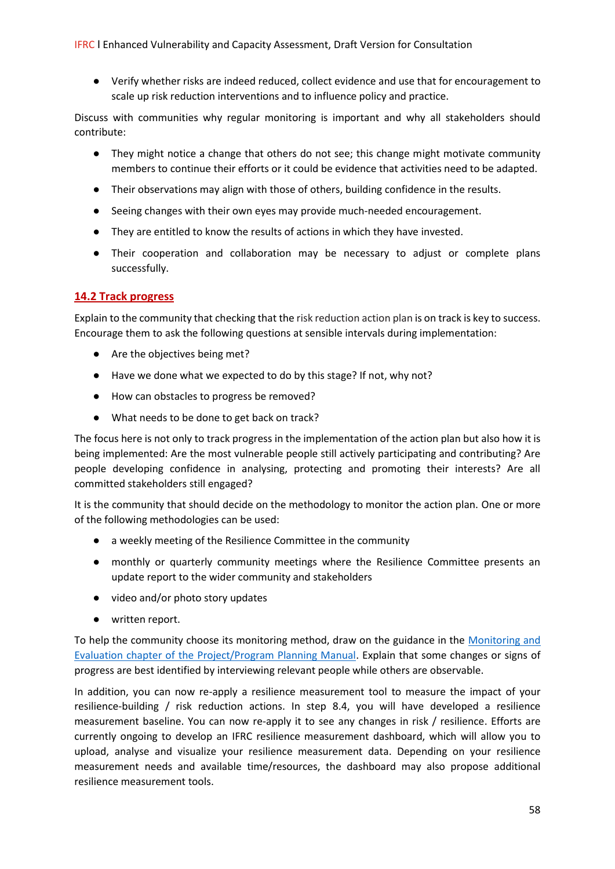● Verify whether risks are indeed reduced, collect evidence and use that for encouragement to scale up risk reduction interventions and to influence policy and practice.

Discuss with communities why regular monitoring is important and why all stakeholders should contribute:

- They might notice a change that others do not see; this change might motivate community members to continue their efforts or it could be evidence that activities need to be adapted.
- Their observations may align with those of others, building confidence in the results.
- Seeing changes with their own eyes may provide much-needed encouragement.
- They are entitled to know the results of actions in which they have invested.
- Their cooperation and collaboration may be necessary to adjust or complete plans successfully.

#### **14.2 Track progress**

Explain to the community that checking that the risk reduction action plan is on track is key to success. Encourage them to ask the following questions at sensible intervals during implementation:

- Are the objectives being met?
- Have we done what we expected to do by this stage? If not, why not?
- How can obstacles to progress be removed?
- What needs to be done to get back on track?

The focus here is not only to track progress in the implementation of the action plan but also how it is being implemented: Are the most vulnerable people still actively participating and contributing? Are people developing confidence in analysing, protecting and promoting their interests? Are all committed stakeholders still engaged?

It is the community that should decide on the methodology to monitor the action plan. One or more of the following methodologies can be used:

- a weekly meeting of the Resilience Committee in the community
- monthly or quarterly community meetings where the Resilience Committee presents an update report to the wider community and stakeholders
- video and/or photo story updates
- written report.

To help the community choose its monitoring method, draw on the guidance in the [Monitoring and](https://docs.wixstatic.com/ugd/59443c_9d7e4d9648a443bcb0566896857ff70b.pdf)  [Evaluation chapter of the Project/Program Planning Manual.](https://docs.wixstatic.com/ugd/59443c_9d7e4d9648a443bcb0566896857ff70b.pdf) Explain that some changes or signs of progress are best identified by interviewing relevant people while others are observable.

In addition, you can now re-apply a resilience measurement tool to measure the impact of your resilience-building / risk reduction actions. In step 8.4, you will have developed a resilience measurement baseline. You can now re-apply it to see any changes in risk / resilience. Efforts are currently ongoing to develop an IFRC resilience measurement dashboard, which will allow you to upload, analyse and visualize your resilience measurement data. Depending on your resilience measurement needs and available time/resources, the dashboard may also propose additional resilience measurement tools.